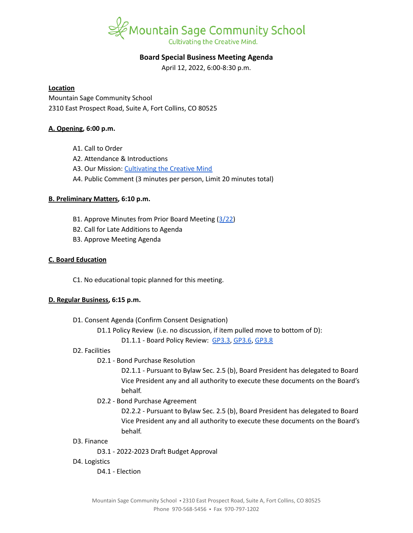

# **Board Special Business Meeting Agenda**

April 12, 2022, 6:00-8:30 p.m.

#### **Location**

Mountain Sage Community School 2310 East Prospect Road, Suite A, Fort Collins, CO 80525

## **A. Opening, 6:00 p.m.**

- A1. Call to Order
- A2. Attendance & Introductions
- A3. Our Mission: [Cultivating](https://www.mountainsage.org/about-us/mission-and-vision/) the Creative Mind
- A4. Public Comment (3 minutes per person, Limit 20 minutes total)

## **B. Preliminary Matters, 6:10 p.m.**

- B1. Approve Minutes from Prior Board Meeting ([3/22\)](https://docs.google.com/document/d/1F1MbWI7N7oizozGxjPFYsyF9rdm6Zwi3Kwx3Aj0LN-o/edit?usp=sharing)
- B2. Call for Late Additions to Agenda
- B3. Approve Meeting Agenda

## **C. Board Education**

C1. No educational topic planned for this meeting.

## **D. Regular Business, 6:15 p.m.**

- D1. Consent Agenda (Confirm Consent Designation)
	- D1.1 Policy Review (i.e. no discussion, if item pulled move to bottom of D):
		- D1.1.1 Board Policy Review: [GP3.3](https://docs.google.com/document/d/1rCNyuUn-oRMQUnt7UX3Ur8rkx1Y8x7-CkbfRWeG56kU), [GP3.6,](https://docs.google.com/document/d/11NzhXxu-XWrxSQOlW5v21SskME9k9GRrxaxm508bP5I/edit) [GP3.8](https://docs.google.com/document/d/1jQ-h_nZxYr44jzisoAamCD-ZTlqzI_RwpOrxd1MbjgY/edit)

## D2. Facilities

D2.1 - Bond Purchase Resolution

D2.1.1 - Pursuant to Bylaw Sec. 2.5 (b), Board President has delegated to Board Vice President any and all authority to execute these documents on the Board's behalf.

D2.2 - Bond Purchase Agreement

D2.2.2 - Pursuant to Bylaw Sec. 2.5 (b), Board President has delegated to Board Vice President any and all authority to execute these documents on the Board's behalf.

#### D3. Finance

D3.1 - 2022-2023 Draft Budget Approval

D4. Logistics

D4.1 - Election